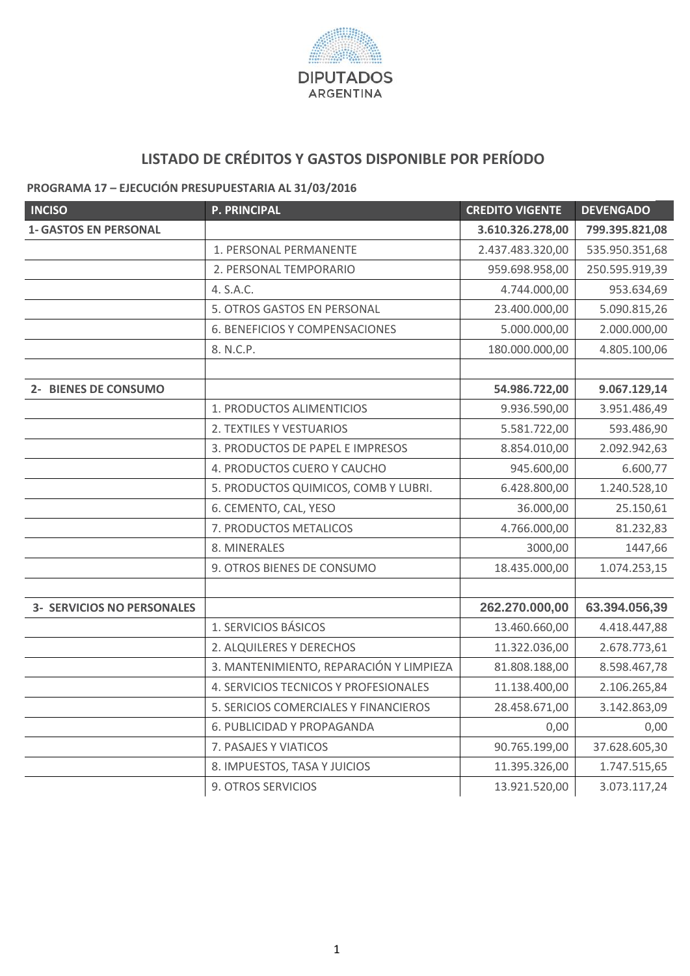

## **LISTADO DE CRÉDITOS Y GASTOS DISPONIBLE POR PERÍODO**

## **PROGRAMA 17 – EJECUCIÓN PRESUPUESTARIA AL 31/03/2016**

| <b>INCISO</b>                     | <b>P. PRINCIPAL</b>                     | <b>CREDITO VIGENTE</b> | <b>DEVENGADO</b> |
|-----------------------------------|-----------------------------------------|------------------------|------------------|
| <b>1- GASTOS EN PERSONAL</b>      |                                         | 3.610.326.278,00       | 799.395.821,08   |
|                                   | 1. PERSONAL PERMANENTE                  | 2.437.483.320,00       | 535.950.351,68   |
|                                   | 2. PERSONAL TEMPORARIO                  | 959.698.958,00         | 250.595.919,39   |
|                                   | 4. S.A.C.                               | 4.744.000,00           | 953.634,69       |
|                                   | 5. OTROS GASTOS EN PERSONAL             | 23.400.000,00          | 5.090.815,26     |
|                                   | <b>6. BENEFICIOS Y COMPENSACIONES</b>   | 5.000.000,00           | 2.000.000,00     |
|                                   | 8. N.C.P.                               | 180.000.000,00         | 4.805.100,06     |
|                                   |                                         |                        |                  |
| 2- BIENES DE CONSUMO              |                                         | 54.986.722,00          | 9.067.129,14     |
|                                   | 1. PRODUCTOS ALIMENTICIOS               | 9.936.590,00           | 3.951.486,49     |
|                                   | 2. TEXTILES Y VESTUARIOS                | 5.581.722,00           | 593.486,90       |
|                                   | 3. PRODUCTOS DE PAPEL E IMPRESOS        | 8.854.010,00           | 2.092.942,63     |
|                                   | 4. PRODUCTOS CUERO Y CAUCHO             | 945.600,00             | 6.600,77         |
|                                   | 5. PRODUCTOS QUIMICOS, COMB Y LUBRI.    | 6.428.800,00           | 1.240.528,10     |
|                                   | 6. CEMENTO, CAL, YESO                   | 36.000,00              | 25.150,61        |
|                                   | 7. PRODUCTOS METALICOS                  | 4.766.000,00           | 81.232,83        |
|                                   | 8. MINERALES                            | 3000,00                | 1447,66          |
|                                   | 9. OTROS BIENES DE CONSUMO              | 18.435.000,00          | 1.074.253,15     |
|                                   |                                         |                        |                  |
| <b>3- SERVICIOS NO PERSONALES</b> |                                         | 262.270.000,00         | 63.394.056,39    |
|                                   | 1. SERVICIOS BÁSICOS                    | 13.460.660,00          | 4.418.447,88     |
|                                   | 2. ALQUILERES Y DERECHOS                | 11.322.036,00          | 2.678.773,61     |
|                                   | 3. MANTENIMIENTO, REPARACIÓN Y LIMPIEZA | 81.808.188,00          | 8.598.467,78     |
|                                   | 4. SERVICIOS TECNICOS Y PROFESIONALES   | 11.138.400,00          | 2.106.265,84     |
|                                   | 5. SERICIOS COMERCIALES Y FINANCIEROS   | 28.458.671,00          | 3.142.863,09     |
|                                   | 6. PUBLICIDAD Y PROPAGANDA              | 0,00                   | 0,00             |
|                                   | 7. PASAJES Y VIATICOS                   | 90.765.199,00          | 37.628.605,30    |
|                                   | 8. IMPUESTOS, TASA Y JUICIOS            | 11.395.326,00          | 1.747.515,65     |
|                                   | 9. OTROS SERVICIOS                      | 13.921.520,00          | 3.073.117,24     |